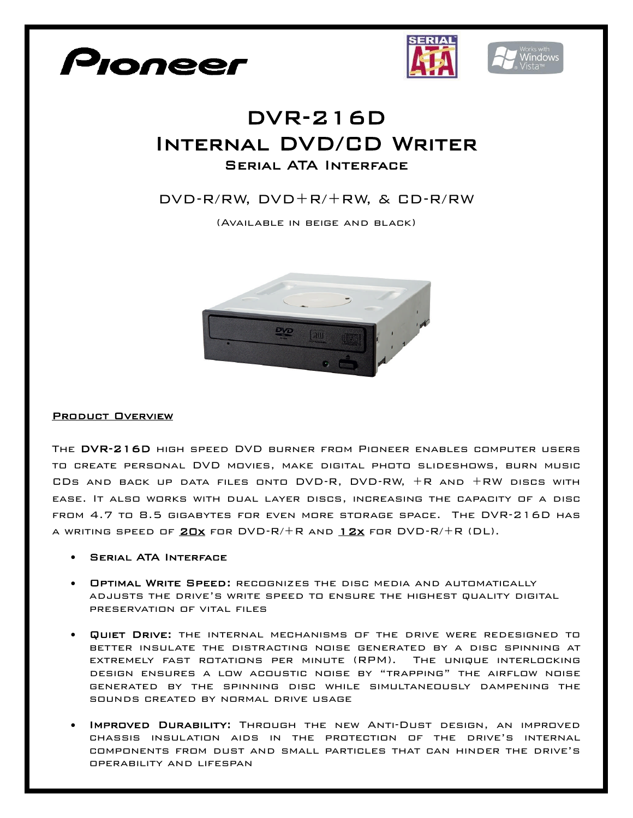





## DVR-216D Internal DVD/CD Writer Serial ATA Interface

## DVD-R/RW, DVD+R/+RW, & CD-R/RW

(Available in beige and black)



## Product Overview

The DVR-216D high speed DVD burner from Pioneer enables computer users to create personal DVD movies, make digital photo slideshows, burn music CDs and back up data files onto DVD-R, DVD-RW, +R and +RW discs with ease. It also works with dual layer discs, increasing the capacity of a disc from 4.7 to 8.5 gigabytes for even more storage space. The DVR-216D has A WRITING SPEED OF  $20x$  for  $DVD-R/+R$  and  $12x$  for  $DVD-R/+R$  (DL).

- Serial ATA Interface
- Optimal Write Speed: recognizes the disc media and automatically adjusts the drive's write speed to ensure the highest quality digital preservation of vital files
- Quiet Drive: the internal mechanisms of the drive were redesigned to better insulate the distracting noise generated by a disc spinning at extremely fast rotations per minute (RPM). The unique interlocking design ensures a low acoustic noise by "trapping" the airflow noise generated by the spinning disc while simultaneously dampening the sounds created by normal drive usage
- Improved Durability: Through the new Anti-Dust design, an improved chassis insulation aids in the protection of the drive's internal components from dust and small particles that can hinder the drive's operability and lifespan